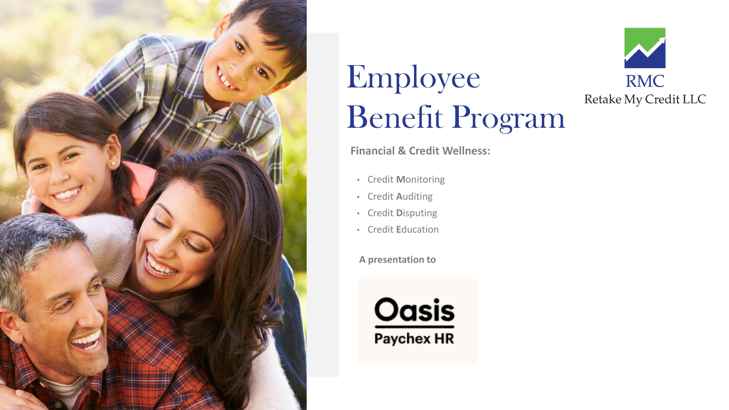

# Employee Benefit Program



**Financial & Credit Wellness:** 

- Credit **M**onitoring
- Credit **A**uditing
- Credit **D**isputing
- Credit **E**ducation

**A presentation to**

**Oasis** Paychex HR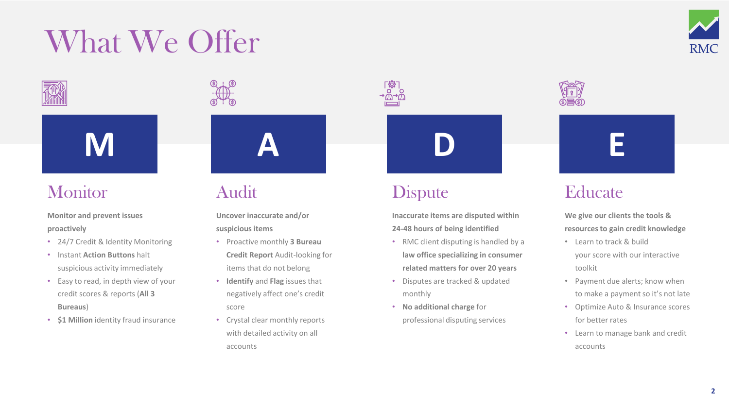# What We Offer



### **Monitor**

**Monitor and prevent issues proactively**

- 24/7 Credit & Identity Monitoring
- Instant **Action Buttons** halt suspicious activity immediately
- Easy to read, in depth view of your credit scores & reports (**All 3 Bureaus**)
- **\$1 Million** identity fraud insurance

### Audit

**Uncover inaccurate and/or suspicious items**

**A**

- Proactive monthly **3 Bureau Credit Report** Audit-looking for items that do not belong
- **Identify** and **Flag** issues that negatively affect one's credit score
- Crystal clear monthly reports with detailed activity on all accounts

### **Dispute**

**Inaccurate items are disputed within 24-48 hours of being identified**

**D**

- RMC client disputing is handled by a **law office specializing in consumer related matters for over 20 years**
- Disputes are tracked & updated monthly
- **No additional charge** for professional disputing services



## **Educate**

**We give our clients the tools & resources to gain credit knowledge**

**E**

- Learn to track & build your score with our interactive toolkit
- Payment due alerts; know when to make a payment so it's not late
- Optimize Auto & Insurance scores for better rates
- Learn to manage bank and credit accounts

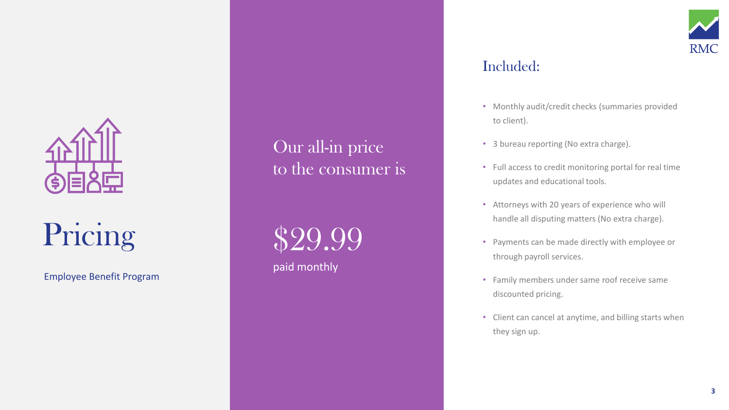

## Pricing

Employee Benefit Program

Our all-in price to the consumer is

\$29.99 paid monthly

### Included:

- Monthly audit/credit checks (summaries provided to client).
- 3 bureau reporting (No extra charge).
- Full access to credit monitoring portal for real time updates and educational tools.
- Attorneys with 20 years of experience who will handle all disputing matters (No extra charge).
- Payments can be made directly with employee or through payroll services.
- Family members under same roof receive same discounted pricing.
- Client can cancel at anytime, and billing starts when they sign up.

**RMC**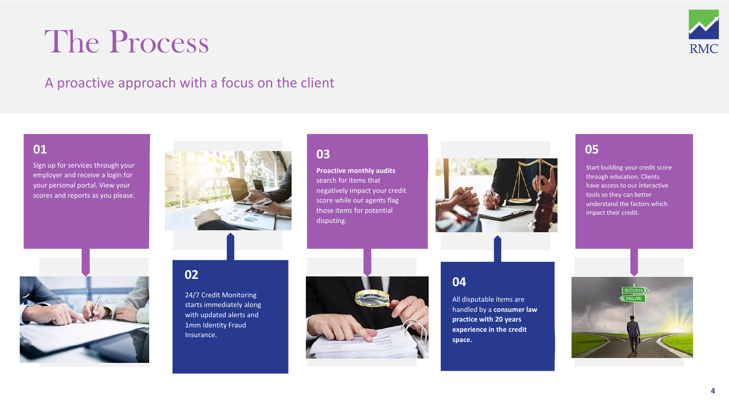## The Process



### A proactive approach with a focus on the client

#### **01**

Sign up for services through your employer and receive a login for your personal portal. View your scores and reports as you please.



#### **03**

**Proactive monthly audits**  search for items that negatively impact your credit score while our agents flag those items for potential disputing.



#### **05**

Start building your credit score through education. Clients have access to our interactive tools so they can better understand the factors which impact their credit.



#### **02**

24/7 Credit Monitoring starts immediately along with updated alerts and 1mm Identity Fraud Insurance.



#### **04**

All disputable items are handled by a **consumer law practice with 20 years experience in the credit space.** 

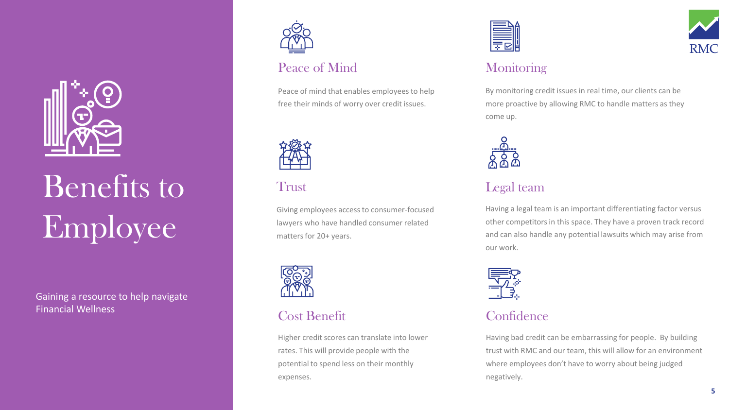

# Benefits to Trust Legal team Employee

Gaining a resource to help navigate Financial Wellness



### Peace of Mind

Peace of mind that enables employees to help free their minds of worry over credit issues.



#### Trust

Giving employees access to consumer-focused lawyers who have handled consumer related matters for 20+ years.



#### Cost Benefit

Higher credit scores can translate into lower rates. This will provide people with the potential to spend less on their monthly expenses.





#### **Monitoring**

By monitoring credit issues in real time, our clients can be more proactive by allowing RMC to handle matters as they come up.



Having a legal team is an important differentiating factor versus other competitors in this space. They have a proven track record and can also handle any potential lawsuits which may arise from our work.



### **Confidence**

Having bad credit can be embarrassing for people. By building trust with RMC and our team, this will allow for an environment where employees don't have to worry about being judged negatively.